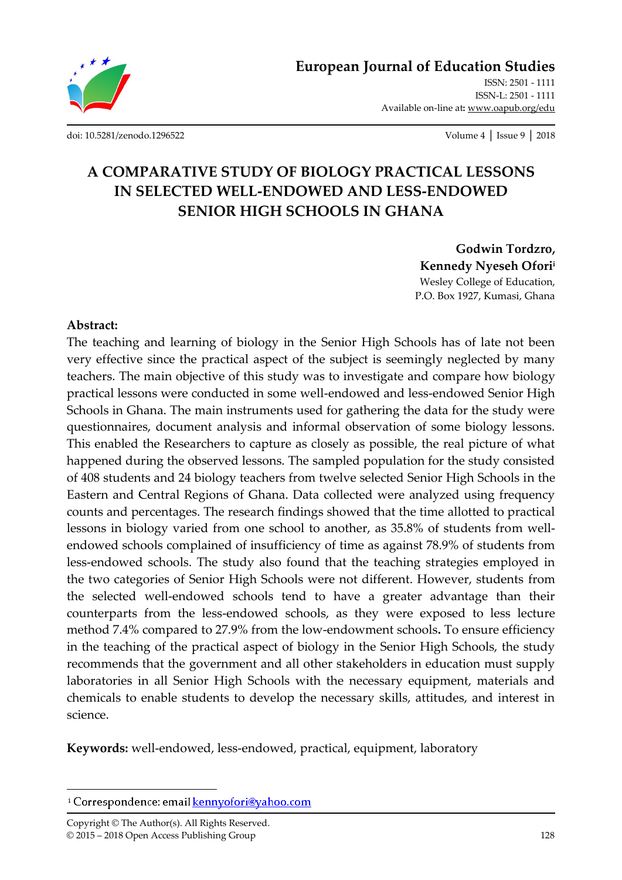

ISSN: 2501 - 1111 ISSN-L: 2501 - 1111 Available on-line at**:** www.oapub.org/edu

[doi: 10.5281/zenodo.1296522](http://dx.doi.org/10.5281/zenodo.1296522) Volume 4 │ Issue 9 │ 2018

# **A COMPARATIVE STUDY OF BIOLOGY PRACTICAL LESSONS IN SELECTED WELL-ENDOWED AND LESS-ENDOWED SENIOR HIGH SCHOOLS IN GHANA**

**Godwin Tordzro, Kennedy Nyeseh Ofori<sup>i</sup>** Wesley College of Education, P.O. Box 1927, Kumasi, Ghana

#### **Abstract:**

The teaching and learning of biology in the Senior High Schools has of late not been very effective since the practical aspect of the subject is seemingly neglected by many teachers. The main objective of this study was to investigate and compare how biology practical lessons were conducted in some well-endowed and less-endowed Senior High Schools in Ghana. The main instruments used for gathering the data for the study were questionnaires, document analysis and informal observation of some biology lessons. This enabled the Researchers to capture as closely as possible, the real picture of what happened during the observed lessons. The sampled population for the study consisted of 408 students and 24 biology teachers from twelve selected Senior High Schools in the Eastern and Central Regions of Ghana. Data collected were analyzed using frequency counts and percentages. The research findings showed that the time allotted to practical lessons in biology varied from one school to another, as 35.8% of students from wellendowed schools complained of insufficiency of time as against 78.9% of students from less-endowed schools. The study also found that the teaching strategies employed in the two categories of Senior High Schools were not different. However, students from the selected well-endowed schools tend to have a greater advantage than their counterparts from the less-endowed schools, as they were exposed to less lecture method 7.4% compared to 27.9% from the low-endowment schools**.** To ensure efficiency in the teaching of the practical aspect of biology in the Senior High Schools, the study recommends that the government and all other stakeholders in education must supply laboratories in all Senior High Schools with the necessary equipment, materials and chemicals to enable students to develop the necessary skills, attitudes, and interest in science.

**Keywords:** well-endowed, less-endowed, practical, equipment, laboratory

Copyright © The Author(s). All Rights Reserved. © 2015 – 2018 Open Access Publishing Group 128

 $\overline{\phantom{a}}$ 

<sup>&</sup>lt;sup>i</sup> Correspondence: email **kennyofori@yahoo.com**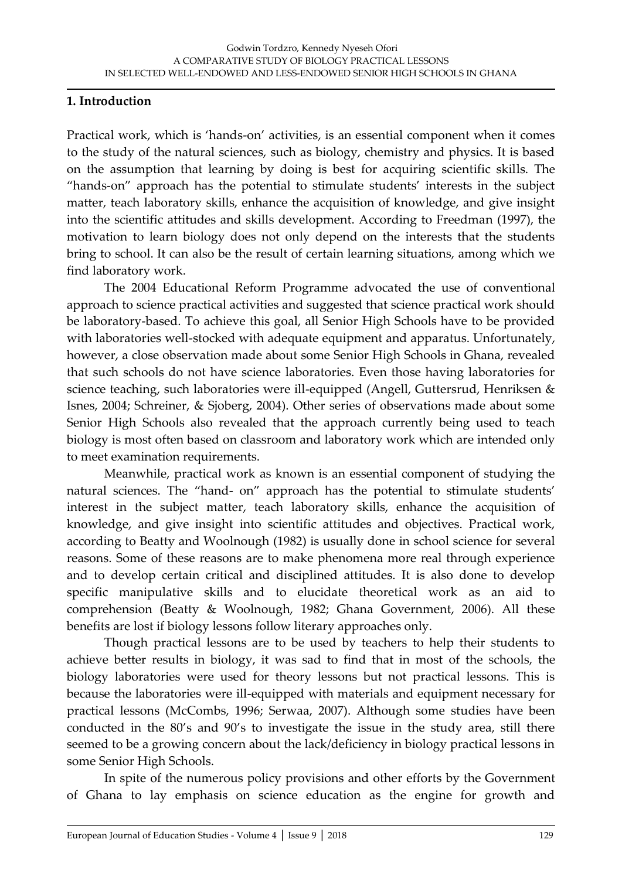#### **1. Introduction**

Practical work, which is 'hands-on' activities, is an essential component when it comes to the study of the natural sciences, such as biology, chemistry and physics. It is based on the assumption that learning by doing is best for acquiring scientific skills. The 'hands-on' approach has the potential to stimulate students' interests in the subject matter, teach laboratory skills, enhance the acquisition of knowledge, and give insight into the scientific attitudes and skills development. According to Freedman (1997), the motivation to learn biology does not only depend on the interests that the students bring to school. It can also be the result of certain learning situations, among which we find laboratory work.

The 2004 Educational Reform Programme advocated the use of conventional approach to science practical activities and suggested that science practical work should be laboratory-based. To achieve this goal, all Senior High Schools have to be provided with laboratories well-stocked with adequate equipment and apparatus. Unfortunately, however, a close observation made about some Senior High Schools in Ghana, revealed that such schools do not have science laboratories. Even those having laboratories for science teaching, such laboratories were ill-equipped (Angell, Guttersrud, Henriksen & Isnes, 2004; Schreiner, & Sjoberg, 2004). Other series of observations made about some Senior High Schools also revealed that the approach currently being used to teach biology is most often based on classroom and laboratory work which are intended only to meet examination requirements.

Meanwhile, practical work as known is an essential component of studying the natural sciences. The 'hand- on' approach has the potential to stimulate students' interest in the subject matter, teach laboratory skills, enhance the acquisition of knowledge, and give insight into scientific attitudes and objectives. Practical work, according to Beatty and Woolnough (1982) is usually done in school science for several reasons. Some of these reasons are to make phenomena more real through experience and to develop certain critical and disciplined attitudes. It is also done to develop specific manipulative skills and to elucidate theoretical work as an aid to comprehension (Beatty & Woolnough, 1982; Ghana Government, 2006). All these benefits are lost if biology lessons follow literary approaches only.

Though practical lessons are to be used by teachers to help their students to achieve better results in biology, it was sad to find that in most of the schools, the biology laboratories were used for theory lessons but not practical lessons. This is because the laboratories were ill-equipped with materials and equipment necessary for practical lessons (McCombs, 1996; Serwaa, 2007). Although some studies have been conducted in the 80's and 90's to investigate the issue in the study area, still there seemed to be a growing concern about the lack/deficiency in biology practical lessons in some Senior High Schools.

In spite of the numerous policy provisions and other efforts by the Government of Ghana to lay emphasis on science education as the engine for growth and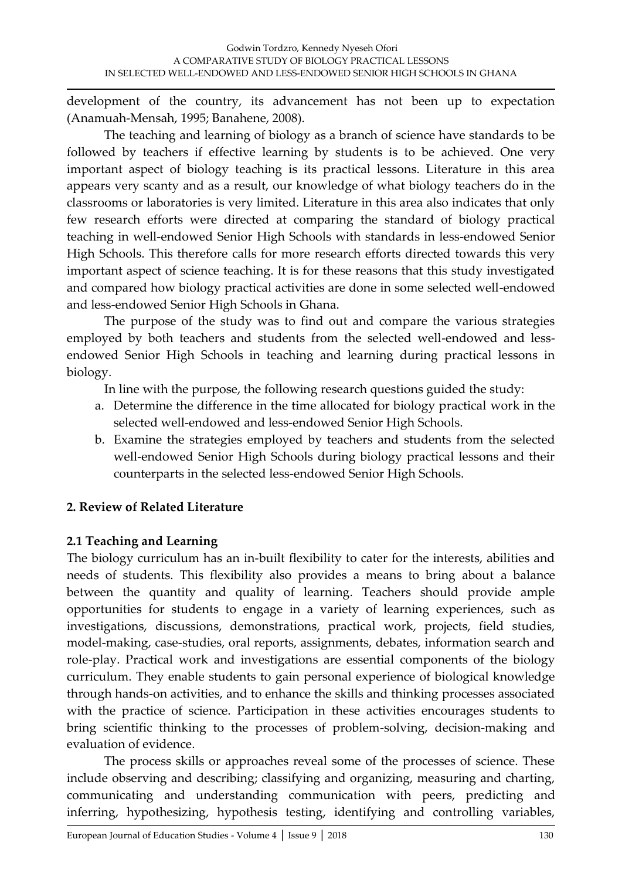development of the country, its advancement has not been up to expectation (Anamuah-Mensah, 1995; Banahene, 2008).

The teaching and learning of biology as a branch of science have standards to be followed by teachers if effective learning by students is to be achieved. One very important aspect of biology teaching is its practical lessons. Literature in this area appears very scanty and as a result, our knowledge of what biology teachers do in the classrooms or laboratories is very limited. Literature in this area also indicates that only few research efforts were directed at comparing the standard of biology practical teaching in well-endowed Senior High Schools with standards in less-endowed Senior High Schools. This therefore calls for more research efforts directed towards this very important aspect of science teaching. It is for these reasons that this study investigated and compared how biology practical activities are done in some selected well-endowed and less-endowed Senior High Schools in Ghana.

The purpose of the study was to find out and compare the various strategies employed by both teachers and students from the selected well-endowed and lessendowed Senior High Schools in teaching and learning during practical lessons in biology.

In line with the purpose, the following research questions guided the study:

- a. Determine the difference in the time allocated for biology practical work in the selected well-endowed and less-endowed Senior High Schools.
- b. Examine the strategies employed by teachers and students from the selected well-endowed Senior High Schools during biology practical lessons and their counterparts in the selected less-endowed Senior High Schools.

# **2. Review of Related Literature**

## **2.1 Teaching and Learning**

The biology curriculum has an in-built flexibility to cater for the interests, abilities and needs of students. This flexibility also provides a means to bring about a balance between the quantity and quality of learning. Teachers should provide ample opportunities for students to engage in a variety of learning experiences, such as investigations, discussions, demonstrations, practical work, projects, field studies, model-making, case-studies, oral reports, assignments, debates, information search and role-play. Practical work and investigations are essential components of the biology curriculum. They enable students to gain personal experience of biological knowledge through hands-on activities, and to enhance the skills and thinking processes associated with the practice of science. Participation in these activities encourages students to bring scientific thinking to the processes of problem-solving, decision-making and evaluation of evidence.

The process skills or approaches reveal some of the processes of science. These include observing and describing; classifying and organizing, measuring and charting, communicating and understanding communication with peers, predicting and inferring, hypothesizing, hypothesis testing, identifying and controlling variables,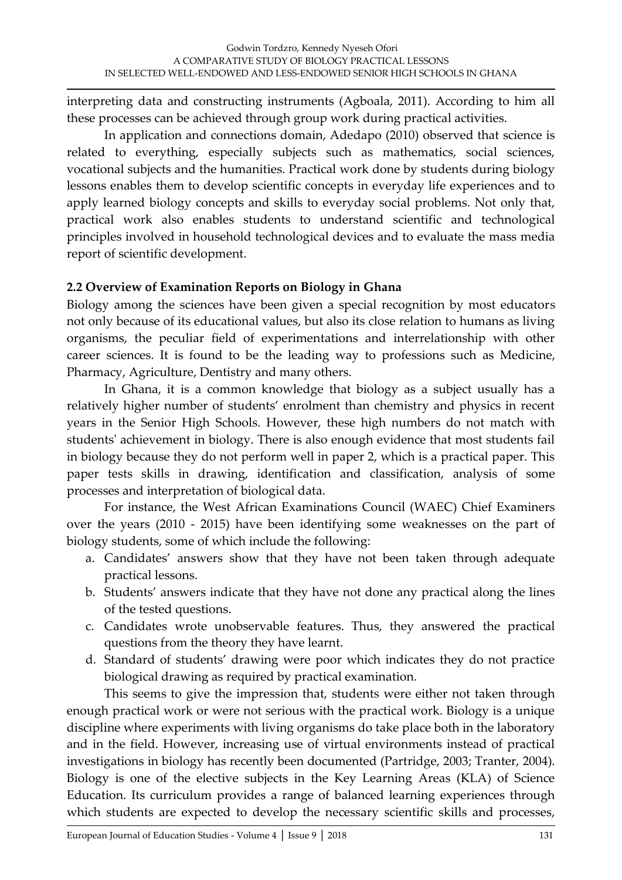interpreting data and constructing instruments (Agboala, 2011). According to him all these processes can be achieved through group work during practical activities.

In application and connections domain, Adedapo (2010) observed that science is related to everything, especially subjects such as mathematics, social sciences, vocational subjects and the humanities. Practical work done by students during biology lessons enables them to develop scientific concepts in everyday life experiences and to apply learned biology concepts and skills to everyday social problems. Not only that, practical work also enables students to understand scientific and technological principles involved in household technological devices and to evaluate the mass media report of scientific development.

### **2.2 Overview of Examination Reports on Biology in Ghana**

Biology among the sciences have been given a special recognition by most educators not only because of its educational values, but also its close relation to humans as living organisms, the peculiar field of experimentations and interrelationship with other career sciences. It is found to be the leading way to professions such as Medicine, Pharmacy, Agriculture, Dentistry and many others.

In Ghana, it is a common knowledge that biology as a subject usually has a relatively higher number of students' enrolment than chemistry and physics in recent years in the Senior High Schools. However, these high numbers do not match with students' achievement in biology. There is also enough evidence that most students fail in biology because they do not perform well in paper 2, which is a practical paper. This paper tests skills in drawing, identification and classification, analysis of some processes and interpretation of biological data.

For instance, the West African Examinations Council (WAEC) Chief Examiners over the years (2010 - 2015) have been identifying some weaknesses on the part of biology students, some of which include the following:

- a. Candidates' answers show that they have not been taken through adequate practical lessons.
- b. Students' answers indicate that they have not done any practical along the lines of the tested questions.
- c. Candidates wrote unobservable features. Thus, they answered the practical questions from the theory they have learnt.
- d. Standard of students' drawing were poor which indicates they do not practice biological drawing as required by practical examination.

This seems to give the impression that, students were either not taken through enough practical work or were not serious with the practical work. Biology is a unique discipline where experiments with living organisms do take place both in the laboratory and in the field. However, increasing use of virtual environments instead of practical investigations in biology has recently been documented (Partridge, 2003; Tranter, 2004). Biology is one of the elective subjects in the Key Learning Areas (KLA) of Science Education. Its curriculum provides a range of balanced learning experiences through which students are expected to develop the necessary scientific skills and processes,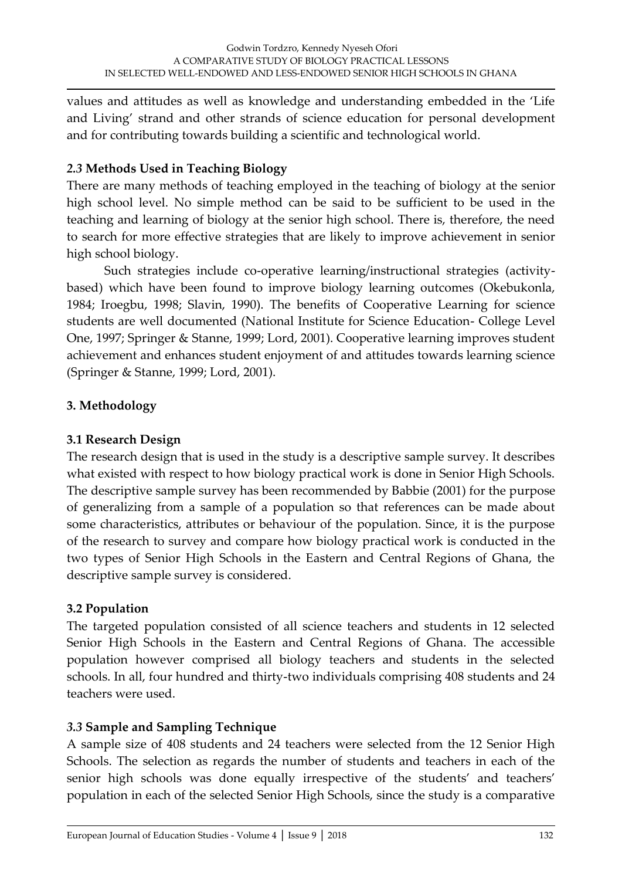values and attitudes as well as knowledge and understanding embedded in the 'Life and Living' strand and other strands of science education for personal development and for contributing towards building a scientific and technological world.

## *2.3* **Methods Used in Teaching Biology**

There are many methods of teaching employed in the teaching of biology at the senior high school level. No simple method can be said to be sufficient to be used in the teaching and learning of biology at the senior high school. There is, therefore, the need to search for more effective strategies that are likely to improve achievement in senior high school biology.

Such strategies include co-operative learning/instructional strategies (activitybased) which have been found to improve biology learning outcomes (Okebukonla, 1984; Iroegbu, 1998; Slavin, 1990). The benefits of Cooperative Learning for science students are well documented (National Institute for Science Education- College Level One, 1997; Springer & Stanne, 1999; Lord, 2001). Cooperative learning improves student achievement and enhances student enjoyment of and attitudes towards learning science (Springer & Stanne, 1999; Lord, 2001).

### **3. Methodology**

### **3.1 Research Design**

The research design that is used in the study is a descriptive sample survey. It describes what existed with respect to how biology practical work is done in Senior High Schools. The descriptive sample survey has been recommended by Babbie (2001) for the purpose of generalizing from a sample of a population so that references can be made about some characteristics, attributes or behaviour of the population. Since, it is the purpose of the research to survey and compare how biology practical work is conducted in the two types of Senior High Schools in the Eastern and Central Regions of Ghana, the descriptive sample survey is considered.

### **3.2 Population**

The targeted population consisted of all science teachers and students in 12 selected Senior High Schools in the Eastern and Central Regions of Ghana. The accessible population however comprised all biology teachers and students in the selected schools. In all, four hundred and thirty-two individuals comprising 408 students and 24 teachers were used.

### *3.3* **Sample and Sampling Technique**

A sample size of 408 students and 24 teachers were selected from the 12 Senior High Schools. The selection as regards the number of students and teachers in each of the senior high schools was done equally irrespective of the students' and teachers' population in each of the selected Senior High Schools, since the study is a comparative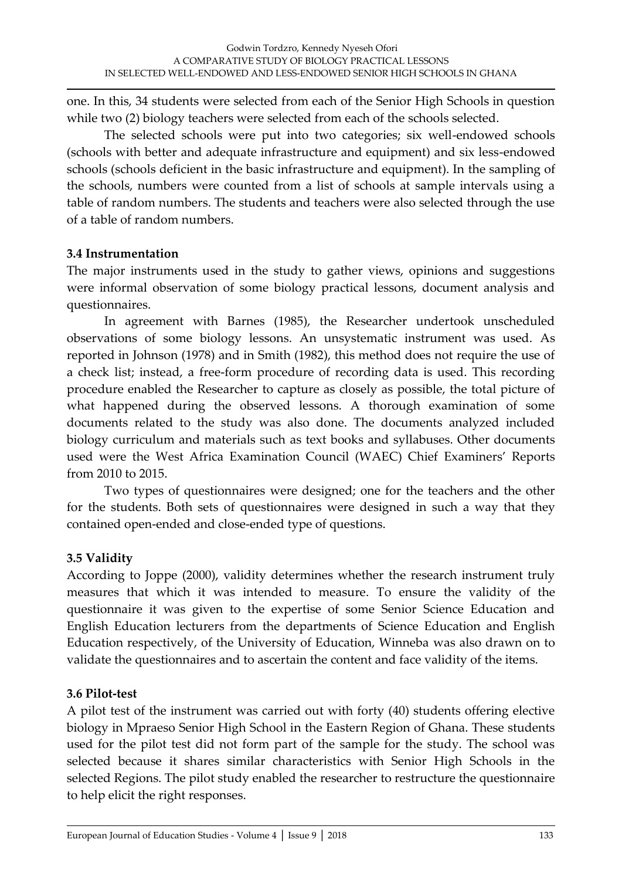one. In this, 34 students were selected from each of the Senior High Schools in question while two (2) biology teachers were selected from each of the schools selected.

The selected schools were put into two categories; six well-endowed schools (schools with better and adequate infrastructure and equipment) and six less-endowed schools (schools deficient in the basic infrastructure and equipment). In the sampling of the schools, numbers were counted from a list of schools at sample intervals using a table of random numbers. The students and teachers were also selected through the use of a table of random numbers.

### **3.4 Instrumentation**

The major instruments used in the study to gather views, opinions and suggestions were informal observation of some biology practical lessons, document analysis and questionnaires.

In agreement with Barnes (1985), the Researcher undertook unscheduled observations of some biology lessons. An unsystematic instrument was used. As reported in Johnson (1978) and in Smith (1982), this method does not require the use of a check list; instead, a free-form procedure of recording data is used. This recording procedure enabled the Researcher to capture as closely as possible, the total picture of what happened during the observed lessons. A thorough examination of some documents related to the study was also done. The documents analyzed included biology curriculum and materials such as text books and syllabuses. Other documents used were the West Africa Examination Council (WAEC) Chief Examiners' Reports from 2010 to 2015.

Two types of questionnaires were designed; one for the teachers and the other for the students. Both sets of questionnaires were designed in such a way that they contained open-ended and close-ended type of questions.

## **3.5 Validity**

According to Joppe (2000), validity determines whether the research instrument truly measures that which it was intended to measure. To ensure the validity of the questionnaire it was given to the expertise of some Senior Science Education and English Education lecturers from the departments of Science Education and English Education respectively, of the University of Education, Winneba was also drawn on to validate the questionnaires and to ascertain the content and face validity of the items.

## **3.6 Pilot-test**

A pilot test of the instrument was carried out with forty (40) students offering elective biology in Mpraeso Senior High School in the Eastern Region of Ghana. These students used for the pilot test did not form part of the sample for the study. The school was selected because it shares similar characteristics with Senior High Schools in the selected Regions. The pilot study enabled the researcher to restructure the questionnaire to help elicit the right responses.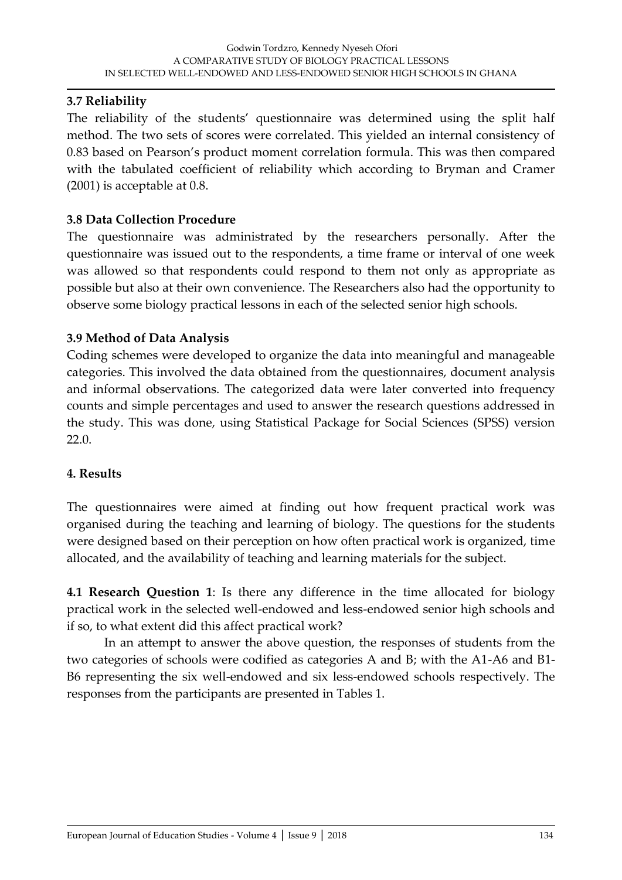### **3.7 Reliability**

The reliability of the students' questionnaire was determined using the split half method. The two sets of scores were correlated. This yielded an internal consistency of 0.83 based on Pearson's product moment correlation formula. This was then compared with the tabulated coefficient of reliability which according to Bryman and Cramer (2001) is acceptable at 0.8.

### **3.8 Data Collection Procedure**

The questionnaire was administrated by the researchers personally. After the questionnaire was issued out to the respondents, a time frame or interval of one week was allowed so that respondents could respond to them not only as appropriate as possible but also at their own convenience. The Researchers also had the opportunity to observe some biology practical lessons in each of the selected senior high schools.

## **3.9 Method of Data Analysis**

Coding schemes were developed to organize the data into meaningful and manageable categories. This involved the data obtained from the questionnaires, document analysis and informal observations. The categorized data were later converted into frequency counts and simple percentages and used to answer the research questions addressed in the study. This was done, using Statistical Package for Social Sciences (SPSS) version 22.0.

### **4. Results**

The questionnaires were aimed at finding out how frequent practical work was organised during the teaching and learning of biology. The questions for the students were designed based on their perception on how often practical work is organized, time allocated, and the availability of teaching and learning materials for the subject.

**4.1 Research Question 1**: Is there any difference in the time allocated for biology practical work in the selected well-endowed and less-endowed senior high schools and if so, to what extent did this affect practical work?

In an attempt to answer the above question, the responses of students from the two categories of schools were codified as categories A and B; with the A1-A6 and B1- B6 representing the six well-endowed and six less-endowed schools respectively. The responses from the participants are presented in Tables 1.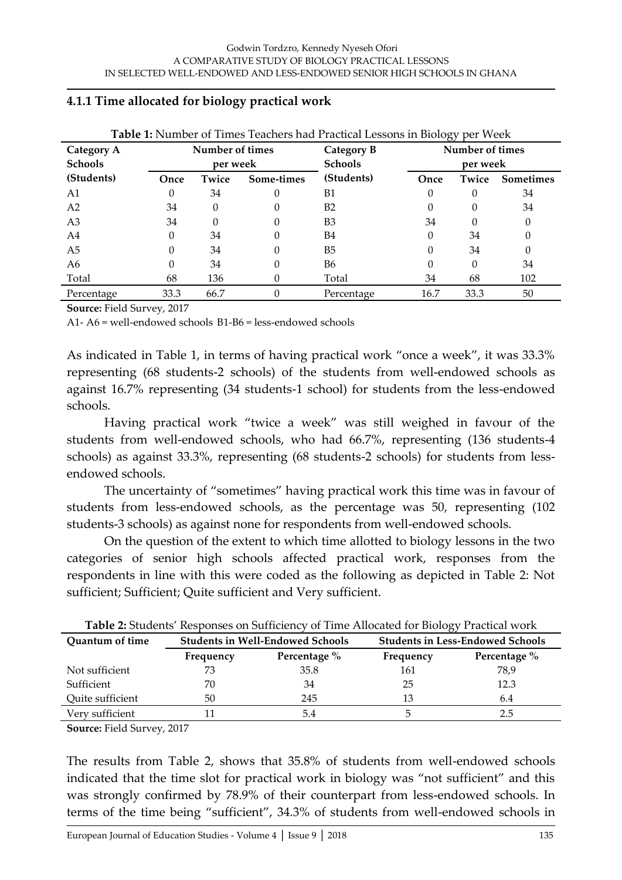| <b>Table 1:</b> Number of Times Teachers had Practical Lessons in Biology per Week |                 |       |                |                |                 |       |                  |
|------------------------------------------------------------------------------------|-----------------|-------|----------------|----------------|-----------------|-------|------------------|
| <b>Category A</b>                                                                  | Number of times |       |                | Category B     | Number of times |       |                  |
| <b>Schools</b>                                                                     | per week        |       | <b>Schools</b> | per week       |                 |       |                  |
| (Students)                                                                         | Once            | Twice | Some-times     | (Students)     | Once            | Twice | <b>Sometimes</b> |
| A <sub>1</sub>                                                                     | $\theta$        | 34    | 0              | B1             | 0               | 0     | 34               |
| A <sub>2</sub>                                                                     | 34              | 0     | 0              | B <sub>2</sub> | 0               | 0     | 34               |
| A <sub>3</sub>                                                                     | 34              | 0     | 0              | B <sub>3</sub> | 34              | 0     | 0                |
| A4                                                                                 | 0               | 34    | 0              | B4             | 0               | 34    | 0                |
| A5                                                                                 | 0               | 34    | 0              | B <sub>5</sub> | 0               | 34    | 0                |
| A6                                                                                 | 0               | 34    | 0              | <b>B6</b>      | 0               | 0     | 34               |
| Total                                                                              | 68              | 136   |                | Total          | 34              | 68    | 102              |
| Percentage                                                                         | 33.3            | 66.7  | 0              | Percentage     | 16.7            | 33.3  | 50               |

#### **4.1.1 Time allocated for biology practical work**

**Source:** Field Survey, 2017

A1- A6 = well-endowed schools B1-B6 = less-endowed schools

As indicated in Table 1, in terms of having practical work "once a week", it was 33.3% representing (68 students-2 schools) of the students from well-endowed schools as against 16.7% representing (34 students-1 school) for students from the less-endowed schools.

Having practical work 'twice a week' was still weighed in favour of the students from well-endowed schools, who had 66.7%, representing (136 students-4 schools) as against 33.3%, representing (68 students-2 schools) for students from lessendowed schools.

The uncertainty of 'sometimes' having practical work this time was in favour of students from less-endowed schools, as the percentage was 50, representing (102 students-3 schools) as against none for respondents from well-endowed schools.

On the question of the extent to which time allotted to biology lessons in the two categories of senior high schools affected practical work, responses from the respondents in line with this were coded as the following as depicted in Table 2: Not sufficient; Sufficient; Quite sufficient and Very sufficient.

| Quantum of time  |           | <b>Students in Well-Endowed Schools</b> | $\tilde{\phantom{a}}$<br><b>Students in Less-Endowed Schools</b> |              |  |
|------------------|-----------|-----------------------------------------|------------------------------------------------------------------|--------------|--|
|                  | Frequency | Percentage %                            | Frequency                                                        | Percentage % |  |
| Not sufficient   | 73        | 35.8                                    | 161                                                              | 78,9         |  |
| Sufficient       | 70        | 34                                      | 25                                                               | 12.3         |  |
| Quite sufficient | 50        | 245                                     | 13                                                               | 6.4          |  |
| Very sufficient  |           |                                         |                                                                  |              |  |

**Source:** Field Survey, 2017

The results from Table 2, shows that 35.8% of students from well-endowed schools indicated that the time slot for practical work in biology was 'not sufficient' and this was strongly confirmed by 78.9% of their counterpart from less-endowed schools. In terms of the time being 'sufficient', 34.3% of students from well-endowed schools in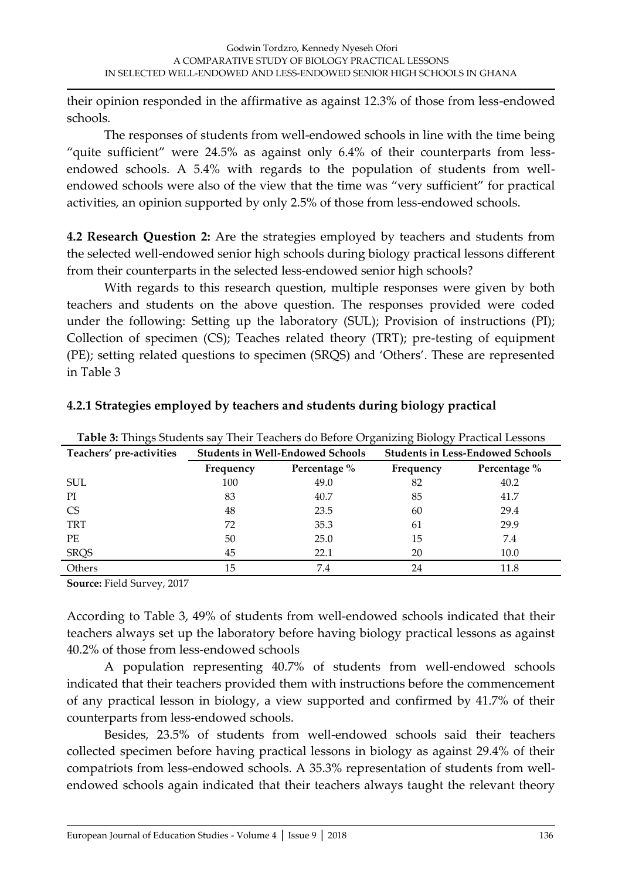their opinion responded in the affirmative as against 12.3% of those from less-endowed schools.

The responses of students from well-endowed schools in line with the time being 'quite sufficient' were 24.5% as against only 6.4% of their counterparts from lessendowed schools. A 5.4% with regards to the population of students from wellendowed schools were also of the view that the time was "very sufficient" for practical activities, an opinion supported by only 2.5% of those from less-endowed schools.

**4.2 Research Question 2:** Are the strategies employed by teachers and students from the selected well-endowed senior high schools during biology practical lessons different from their counterparts in the selected less-endowed senior high schools?

With regards to this research question, multiple responses were given by both teachers and students on the above question. The responses provided were coded under the following: Setting up the laboratory (SUL); Provision of instructions (PI); Collection of specimen (CS); Teaches related theory (TRT); pre-testing of equipment (PE); setting related questions to specimen (SRQS) and 'Others'. These are represented in Table 3

| <b>Table 3:</b> Things Students say Their Teachers do Before Organizing Biology Practical Lessons |           |                                         |                                         |              |  |
|---------------------------------------------------------------------------------------------------|-----------|-----------------------------------------|-----------------------------------------|--------------|--|
| Teachers' pre-activities                                                                          |           | <b>Students in Well-Endowed Schools</b> | <b>Students in Less-Endowed Schools</b> |              |  |
|                                                                                                   | Frequency | Percentage %                            | Frequency                               | Percentage % |  |
| <b>SUL</b>                                                                                        | 100       | 49.0                                    | 82                                      | 40.2         |  |
| PI.                                                                                               | 83        | 40.7                                    | 85                                      | 41.7         |  |
| <b>CS</b>                                                                                         | 48        | 23.5                                    | 60                                      | 29.4         |  |
| <b>TRT</b>                                                                                        | 72        | 35.3                                    | 61                                      | 29.9         |  |
| <b>PE</b>                                                                                         | 50        | 25.0                                    | 15                                      | 7.4          |  |
| <b>SRQS</b>                                                                                       | 45        | 22.1                                    | 20                                      | 10.0         |  |
| Others                                                                                            | 15        | 7.4                                     | 24                                      | 11.8         |  |

### **4.2.1 Strategies employed by teachers and students during biology practical**

**Source:** Field Survey, 2017

According to Table 3, 49% of students from well-endowed schools indicated that their teachers always set up the laboratory before having biology practical lessons as against 40.2% of those from less-endowed schools

A population representing 40.7% of students from well-endowed schools indicated that their teachers provided them with instructions before the commencement of any practical lesson in biology, a view supported and confirmed by 41.7% of their counterparts from less-endowed schools.

Besides, 23.5% of students from well-endowed schools said their teachers collected specimen before having practical lessons in biology as against 29.4% of their compatriots from less-endowed schools. A 35.3% representation of students from wellendowed schools again indicated that their teachers always taught the relevant theory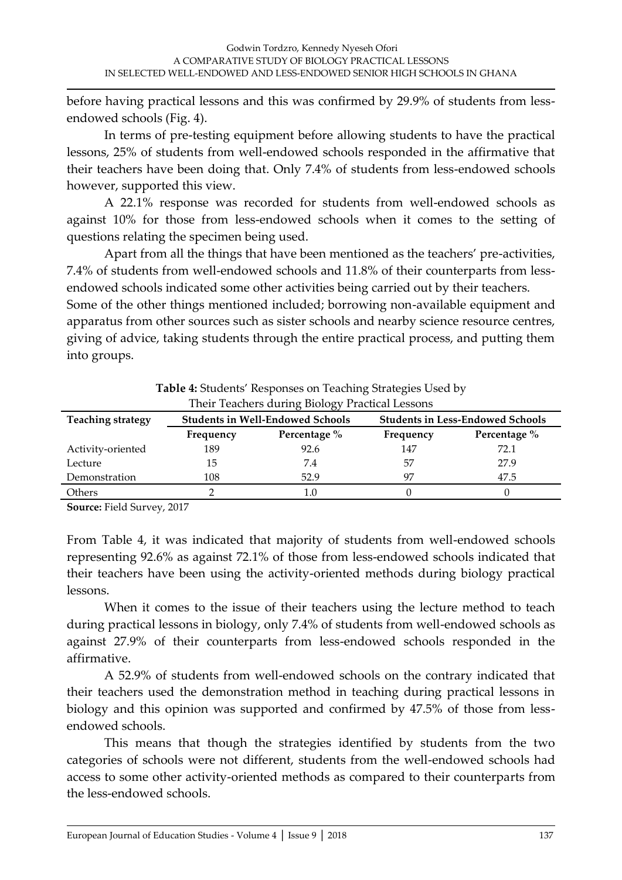before having practical lessons and this was confirmed by 29.9% of students from lessendowed schools (Fig. 4).

In terms of pre-testing equipment before allowing students to have the practical lessons, 25% of students from well-endowed schools responded in the affirmative that their teachers have been doing that. Only 7.4% of students from less-endowed schools however, supported this view.

A 22.1% response was recorded for students from well-endowed schools as against 10% for those from less-endowed schools when it comes to the setting of questions relating the specimen being used.

Apart from all the things that have been mentioned as the teachers' pre-activities, 7.4% of students from well-endowed schools and 11.8% of their counterparts from lessendowed schools indicated some other activities being carried out by their teachers.

Some of the other things mentioned included; borrowing non-available equipment and apparatus from other sources such as sister schools and nearby science resource centres, giving of advice, taking students through the entire practical process, and putting them into groups.

| Their Teachers during Biology Practical Lessons |           |                                         |                                         |              |  |
|-------------------------------------------------|-----------|-----------------------------------------|-----------------------------------------|--------------|--|
| <b>Teaching strategy</b>                        |           | <b>Students in Well-Endowed Schools</b> | <b>Students in Less-Endowed Schools</b> |              |  |
|                                                 | Frequency | Percentage %                            | Frequency                               | Percentage % |  |
| Activity-oriented                               | 189       | 92.6                                    | 147                                     | 72.1         |  |
| Lecture                                         | 15        | 7.4                                     | 57                                      | 27.9         |  |
| Demonstration                                   | 108       | 52.9                                    | 97                                      | 47.5         |  |
| Others                                          |           | 1.O                                     |                                         |              |  |

**Table 4:** Students' Responses on Teaching Strategies Used by

**Source:** Field Survey, 2017

From Table 4, it was indicated that majority of students from well-endowed schools representing 92.6% as against 72.1% of those from less-endowed schools indicated that their teachers have been using the activity-oriented methods during biology practical lessons.

When it comes to the issue of their teachers using the lecture method to teach during practical lessons in biology, only 7.4% of students from well-endowed schools as against 27.9% of their counterparts from less-endowed schools responded in the affirmative.

A 52.9% of students from well-endowed schools on the contrary indicated that their teachers used the demonstration method in teaching during practical lessons in biology and this opinion was supported and confirmed by 47.5% of those from lessendowed schools.

This means that though the strategies identified by students from the two categories of schools were not different, students from the well-endowed schools had access to some other activity-oriented methods as compared to their counterparts from the less-endowed schools.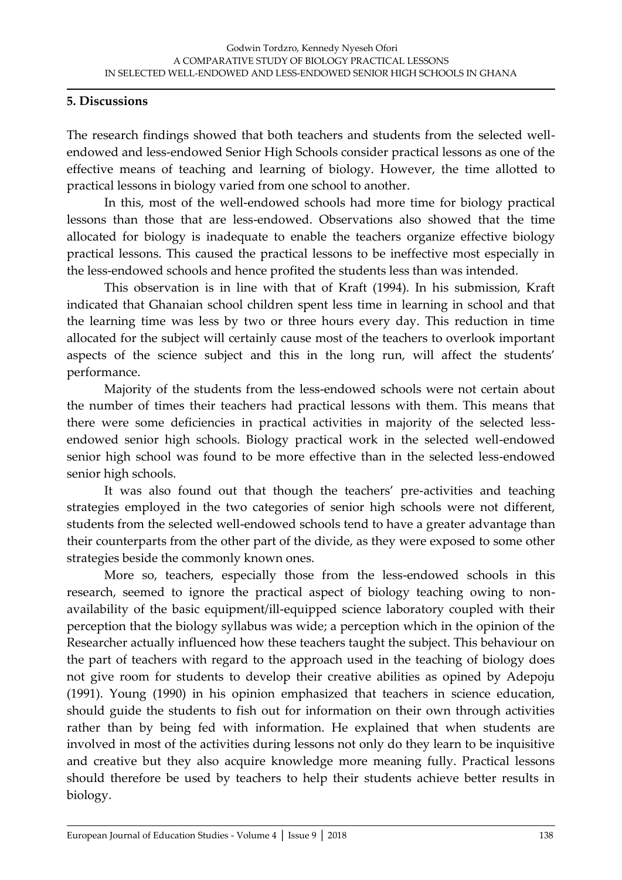#### **5. Discussions**

The research findings showed that both teachers and students from the selected wellendowed and less-endowed Senior High Schools consider practical lessons as one of the effective means of teaching and learning of biology. However, the time allotted to practical lessons in biology varied from one school to another.

In this, most of the well-endowed schools had more time for biology practical lessons than those that are less-endowed. Observations also showed that the time allocated for biology is inadequate to enable the teachers organize effective biology practical lessons. This caused the practical lessons to be ineffective most especially in the less-endowed schools and hence profited the students less than was intended.

This observation is in line with that of Kraft (1994). In his submission, Kraft indicated that Ghanaian school children spent less time in learning in school and that the learning time was less by two or three hours every day. This reduction in time allocated for the subject will certainly cause most of the teachers to overlook important aspects of the science subject and this in the long run, will affect the students' performance.

Majority of the students from the less-endowed schools were not certain about the number of times their teachers had practical lessons with them. This means that there were some deficiencies in practical activities in majority of the selected lessendowed senior high schools. Biology practical work in the selected well-endowed senior high school was found to be more effective than in the selected less-endowed senior high schools.

It was also found out that though the teachers' pre-activities and teaching strategies employed in the two categories of senior high schools were not different, students from the selected well-endowed schools tend to have a greater advantage than their counterparts from the other part of the divide, as they were exposed to some other strategies beside the commonly known ones.

More so, teachers, especially those from the less-endowed schools in this research, seemed to ignore the practical aspect of biology teaching owing to nonavailability of the basic equipment/ill-equipped science laboratory coupled with their perception that the biology syllabus was wide; a perception which in the opinion of the Researcher actually influenced how these teachers taught the subject. This behaviour on the part of teachers with regard to the approach used in the teaching of biology does not give room for students to develop their creative abilities as opined by Adepoju (1991). Young (1990) in his opinion emphasized that teachers in science education, should guide the students to fish out for information on their own through activities rather than by being fed with information. He explained that when students are involved in most of the activities during lessons not only do they learn to be inquisitive and creative but they also acquire knowledge more meaning fully. Practical lessons should therefore be used by teachers to help their students achieve better results in biology.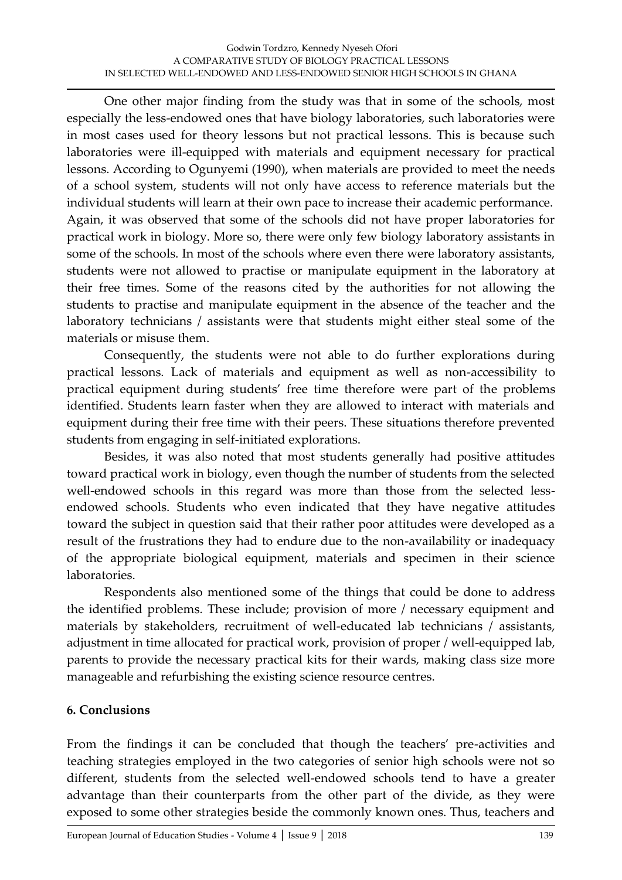One other major finding from the study was that in some of the schools, most especially the less-endowed ones that have biology laboratories, such laboratories were in most cases used for theory lessons but not practical lessons. This is because such laboratories were ill-equipped with materials and equipment necessary for practical lessons. According to Ogunyemi (1990), when materials are provided to meet the needs of a school system, students will not only have access to reference materials but the individual students will learn at their own pace to increase their academic performance. Again, it was observed that some of the schools did not have proper laboratories for practical work in biology. More so, there were only few biology laboratory assistants in some of the schools. In most of the schools where even there were laboratory assistants, students were not allowed to practise or manipulate equipment in the laboratory at their free times. Some of the reasons cited by the authorities for not allowing the students to practise and manipulate equipment in the absence of the teacher and the laboratory technicians / assistants were that students might either steal some of the materials or misuse them.

Consequently, the students were not able to do further explorations during practical lessons. Lack of materials and equipment as well as non-accessibility to practical equipment during students' free time therefore were part of the problems identified. Students learn faster when they are allowed to interact with materials and equipment during their free time with their peers. These situations therefore prevented students from engaging in self-initiated explorations.

Besides, it was also noted that most students generally had positive attitudes toward practical work in biology, even though the number of students from the selected well-endowed schools in this regard was more than those from the selected lessendowed schools. Students who even indicated that they have negative attitudes toward the subject in question said that their rather poor attitudes were developed as a result of the frustrations they had to endure due to the non-availability or inadequacy of the appropriate biological equipment, materials and specimen in their science laboratories.

Respondents also mentioned some of the things that could be done to address the identified problems. These include; provision of more / necessary equipment and materials by stakeholders, recruitment of well-educated lab technicians / assistants, adjustment in time allocated for practical work, provision of proper / well-equipped lab, parents to provide the necessary practical kits for their wards, making class size more manageable and refurbishing the existing science resource centres.

### **6. Conclusions**

From the findings it can be concluded that though the teachers' pre-activities and teaching strategies employed in the two categories of senior high schools were not so different, students from the selected well-endowed schools tend to have a greater advantage than their counterparts from the other part of the divide, as they were exposed to some other strategies beside the commonly known ones. Thus, teachers and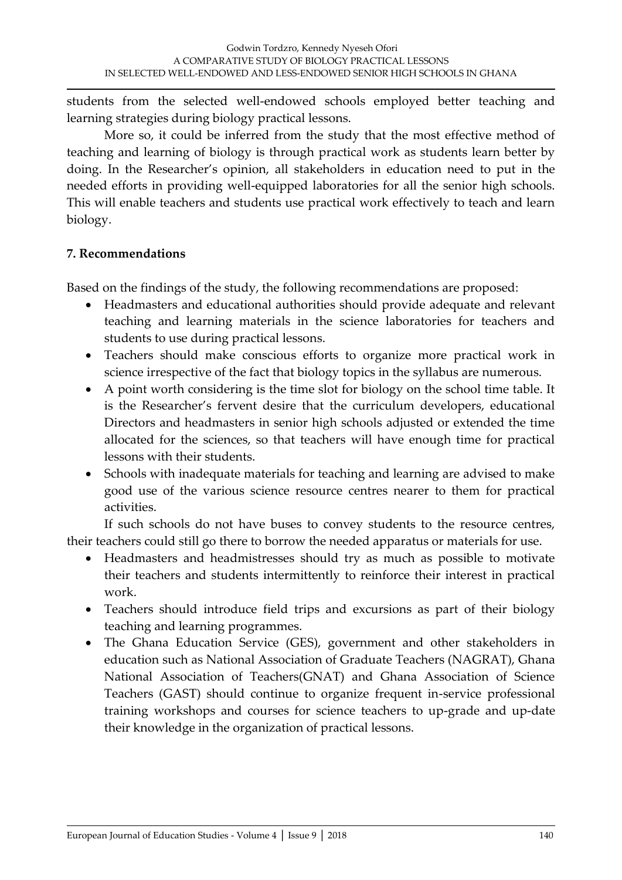students from the selected well-endowed schools employed better teaching and learning strategies during biology practical lessons.

More so, it could be inferred from the study that the most effective method of teaching and learning of biology is through practical work as students learn better by doing. In the Researcher's opinion, all stakeholders in education need to put in the needed efforts in providing well-equipped laboratories for all the senior high schools. This will enable teachers and students use practical work effectively to teach and learn biology.

### **7. Recommendations**

Based on the findings of the study, the following recommendations are proposed:

- Headmasters and educational authorities should provide adequate and relevant teaching and learning materials in the science laboratories for teachers and students to use during practical lessons.
- Teachers should make conscious efforts to organize more practical work in science irrespective of the fact that biology topics in the syllabus are numerous.
- A point worth considering is the time slot for biology on the school time table. It is the Researcher's fervent desire that the curriculum developers, educational Directors and headmasters in senior high schools adjusted or extended the time allocated for the sciences, so that teachers will have enough time for practical lessons with their students.
- Schools with inadequate materials for teaching and learning are advised to make good use of the various science resource centres nearer to them for practical activities.

If such schools do not have buses to convey students to the resource centres, their teachers could still go there to borrow the needed apparatus or materials for use.

- Headmasters and headmistresses should try as much as possible to motivate their teachers and students intermittently to reinforce their interest in practical work.
- Teachers should introduce field trips and excursions as part of their biology teaching and learning programmes.
- The Ghana Education Service (GES), government and other stakeholders in education such as National Association of Graduate Teachers (NAGRAT), Ghana National Association of Teachers(GNAT) and Ghana Association of Science Teachers (GAST) should continue to organize frequent in-service professional training workshops and courses for science teachers to up-grade and up-date their knowledge in the organization of practical lessons.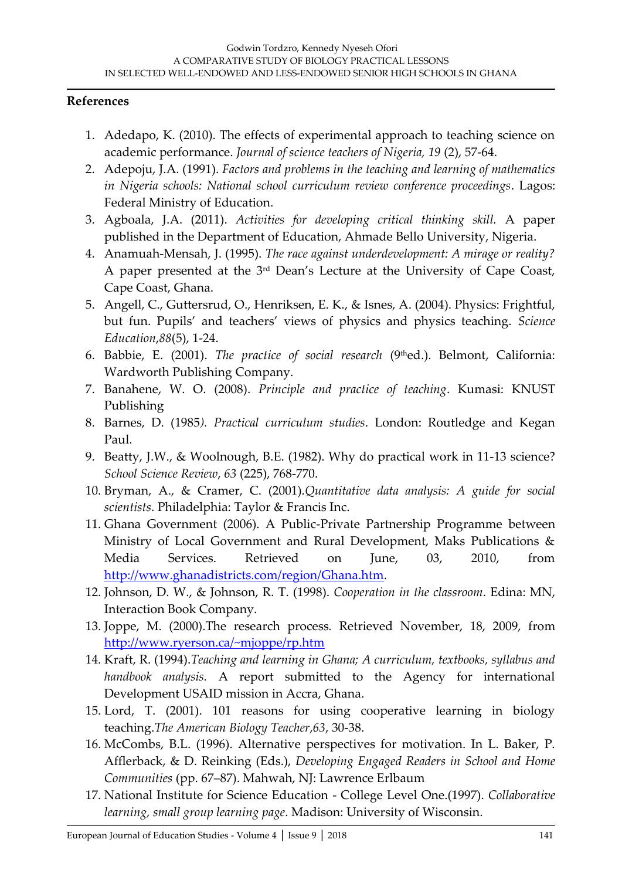#### **References**

- 1. Adedapo, K. (2010). The effects of experimental approach to teaching science on academic performance. *Journal of science teachers of Nigeria, 19* (2), 57-64.
- 2. Adepoju, J.A. (1991). *Factors and problems in the teaching and learning of mathematics in Nigeria schools: National school curriculum review conference proceedings*. Lagos: Federal Ministry of Education.
- 3. Agboala, J.A. (2011). *Activities for developing critical thinking skill.* A paper published in the Department of Education, Ahmade Bello University, Nigeria.
- 4. Anamuah-Mensah, J. (1995). *The race against underdevelopment: A mirage or reality?* A paper presented at the 3rd Dean's Lecture at the University of Cape Coast, Cape Coast, Ghana.
- 5. Angell, C., Guttersrud, O., Henriksen, E. K., & Isnes, A. (2004). Physics: Frightful, but fun. Pupils' and teachers' views of physics and physics teaching. *Science Education*,*88*(5), 1-24.
- 6. Babbie, E. (2001). *The practice of social research* (9thed.). Belmont, California: Wardworth Publishing Company.
- 7. Banahene, W. O. (2008). *Principle and practice of teaching*. Kumasi: KNUST Publishing
- 8. Barnes, D. (1985*). Practical curriculum studies*. London: Routledge and Kegan Paul.
- 9. Beatty, J.W., & Woolnough, B.E. (1982). Why do practical work in 11-13 science? *School Science Review*, *63* (225), 768-770.
- 10. Bryman, A., & Cramer, C. (2001).*Quantitative data analysis: A guide for social scientists*. Philadelphia: Taylor & Francis Inc.
- 11. Ghana Government (2006). A Public-Private Partnership Programme between Ministry of Local Government and Rural Development, Maks Publications & Media Services. Retrieved on June, 03, 2010, from [http://www.ghanadistricts.com/region/Ghana.htm.](http://www.ghanadistricts.com/region/Ghana.htm)
- 12. Johnson, D. W., & Johnson, R. T. (1998). *Cooperation in the classroom*. Edina: MN, Interaction Book Company.
- 13. Joppe, M. (2000).The research process*.* Retrieved November, 18, 2009, from <http://www.ryerson.ca/~mjoppe/rp.htm>
- 14. Kraft, R. (1994).*Teaching and learning in Ghana; A curriculum, textbooks, syllabus and handbook analysis.* A report submitted to the Agency for international Development USAID mission in Accra, Ghana.
- 15. Lord, T. (2001). 101 reasons for using cooperative learning in biology teaching.*The American Biology Teacher*,*63*, 30-38.
- 16. McCombs, B.L. (1996). Alternative perspectives for motivation. In L. Baker, P. Afflerback, & D. Reinking (Eds.), *Developing Engaged Readers in School and Home Communities* (pp. 67–87). Mahwah, NJ: Lawrence Erlbaum
- 17. National Institute for Science Education College Level One.(1997). *Collaborative learning, small group learning page*. Madison: University of Wisconsin.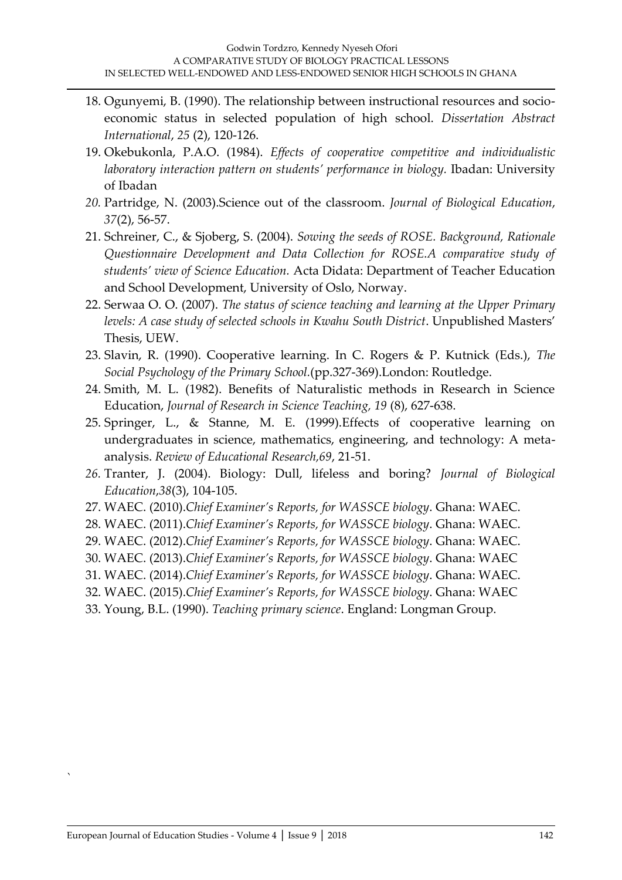- 18. Ogunyemi, B. (1990). The relationship between instructional resources and socioeconomic status in selected population of high school. *Dissertation Abstract International*, *25* (2), 120-126.
- 19. Okebukonla, P.A.O. (1984). *Effects of cooperative competitive and individualistic laboratory interaction pattern on students' performance in biology.* Ibadan: University of Ibadan
- *20.* Partridge, N. (2003).Science out of the classroom. *Journal of Biological Education*, *37*(2), 56-57.
- 21. Schreiner, C., & Sjoberg, S. (2004). *Sowing the seeds of ROSE. Background, Rationale Questionnaire Development and Data Collection for ROSE.A comparative study of students' view of Science Education.* Acta Didata: Department of Teacher Education and School Development, University of Oslo, Norway.
- 22. Serwaa O. O. (2007). *The status of science teaching and learning at the Upper Primary levels: A case study of selected schools in Kwahu South District*. Unpublished Masters' Thesis, UEW.
- 23. Slavin, R. (1990). Cooperative learning. In C. Rogers & P. Kutnick (Eds.), *The Social Psychology of the Primary School.*(pp.327-369).London: Routledge.
- 24. Smith, M. L. (1982). Benefits of Naturalistic methods in Research in Science Education, *Journal of Research in Science Teaching, 19* (8), 627-638.
- 25. Springer, L., & Stanne, M. E. (1999).Effects of cooperative learning on undergraduates in science, mathematics, engineering, and technology: A metaanalysis. *Review of Educational Research,69*, 21-51.
- *26.* Tranter, J. (2004). Biology: Dull, lifeless and boring? *Journal of Biological Education*,*38*(3), 104-105.
- 27. WAEC. (2010).*Chief Examiner's Reports, for WASSCE biology*. Ghana: WAEC.
- 28. WAEC. (2011).*Chief Examiner's Reports, for WASSCE biology*. Ghana: WAEC.
- 29. WAEC. (2012).*Chief Examiner's Reports, for WASSCE biology*. Ghana: WAEC.
- 30. WAEC. (2013).*Chief Examiner's Reports, for WASSCE biology*. Ghana: WAEC
- 31. WAEC. (2014).*Chief Examiner's Reports, for WASSCE biology*. Ghana: WAEC.
- 32. WAEC. (2015).*Chief Examiner's Reports, for WASSCE biology*. Ghana: WAEC
- 33. Young, B.L. (1990). *Teaching primary science*. England: Longman Group.

`